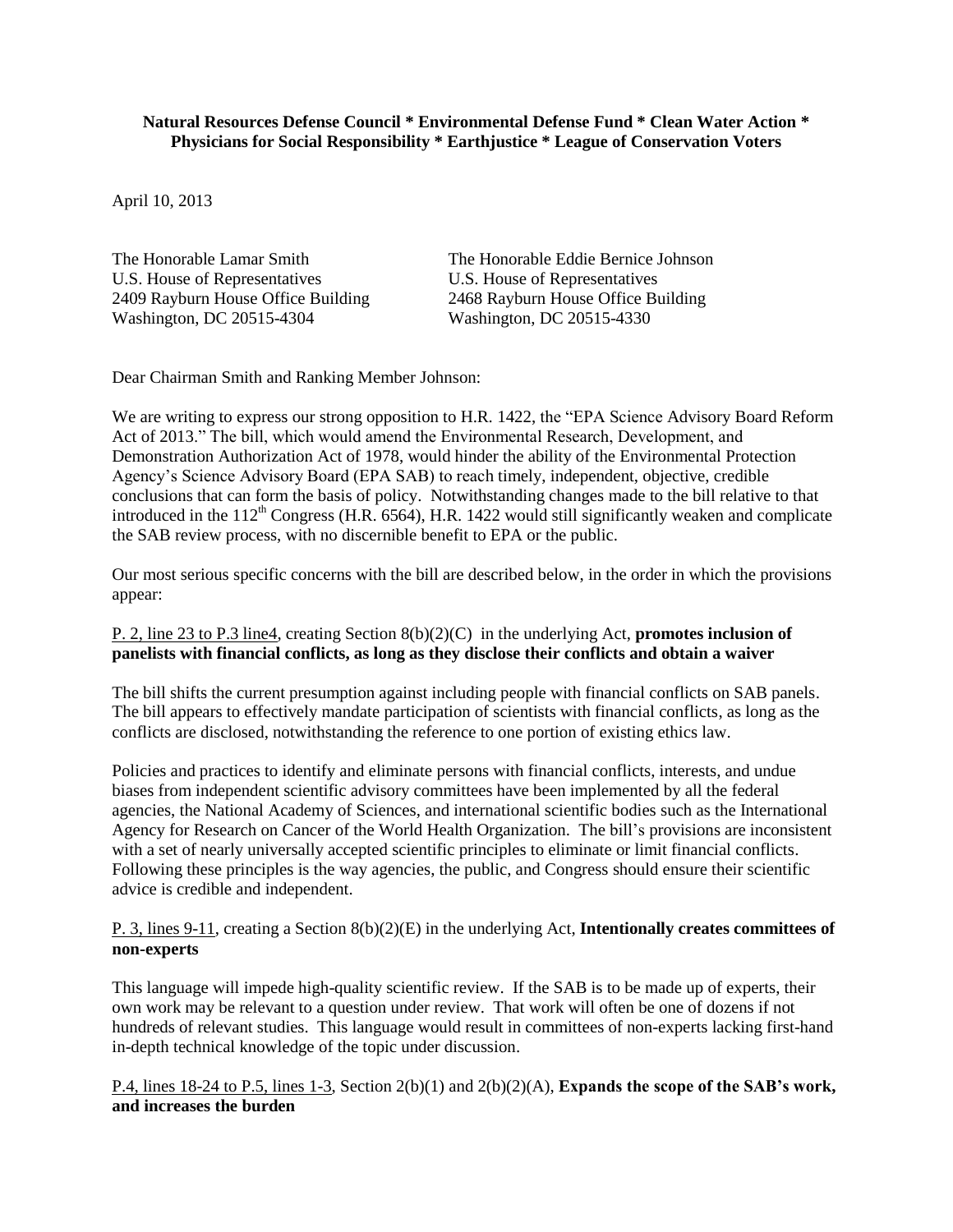## **Natural Resources Defense Council \* Environmental Defense Fund \* Clean Water Action \* Physicians for Social Responsibility \* Earthjustice \* League of Conservation Voters**

April 10, 2013

U.S. House of Representatives U.S. House of Representatives 2409 Rayburn House Office Building<br>
2468 Rayburn House Office Building<br>
2468 Rayburn House Office Building<br>
2468 Rayburn House Office Building<br>
268 Rayburn House Office Building Washington, DC 20515-4304

The Honorable Lamar Smith The Honorable Eddie Bernice Johnson

Dear Chairman Smith and Ranking Member Johnson:

We are writing to express our strong opposition to H.R. 1422, the "EPA Science Advisory Board Reform" Act of 2013." The bill, which would amend the Environmental Research, Development, and Demonstration Authorization Act of 1978, would hinder the ability of the Environmental Protection Agency's Science Advisory Board (EPA SAB) to reach timely, independent, objective, credible conclusions that can form the basis of policy. Notwithstanding changes made to the bill relative to that introduced in the  $112^{th}$  Congress (H.R.  $6564$ ), H.R. 1422 would still significantly weaken and complicate the SAB review process, with no discernible benefit to EPA or the public.

Our most serious specific concerns with the bill are described below, in the order in which the provisions appear:

## P. 2, line 23 to P.3 line4, creating Section 8(b)(2)(C) in the underlying Act, **promotes inclusion of panelists with financial conflicts, as long as they disclose their conflicts and obtain a waiver**

The bill shifts the current presumption against including people with financial conflicts on SAB panels. The bill appears to effectively mandate participation of scientists with financial conflicts, as long as the conflicts are disclosed, notwithstanding the reference to one portion of existing ethics law.

Policies and practices to identify and eliminate persons with financial conflicts, interests, and undue biases from independent scientific advisory committees have been implemented by all the federal agencies, the National Academy of Sciences, and international scientific bodies such as the International Agency for Research on Cancer of the World Health Organization. The bill's provisions are inconsistent with a set of nearly universally accepted scientific principles to eliminate or limit financial conflicts. Following these principles is the way agencies, the public, and Congress should ensure their scientific advice is credible and independent.

## P. 3, lines 9-11, creating a Section 8(b)(2)(E) in the underlying Act, **Intentionally creates committees of non-experts**

This language will impede high-quality scientific review. If the SAB is to be made up of experts, their own work may be relevant to a question under review. That work will often be one of dozens if not hundreds of relevant studies. This language would result in committees of non-experts lacking first-hand in-depth technical knowledge of the topic under discussion.

P.4, lines 18-24 to P.5, lines 1-3, Section 2(b)(1) and 2(b)(2)(A), **Expands the scope of the SAB's work, and increases the burden**